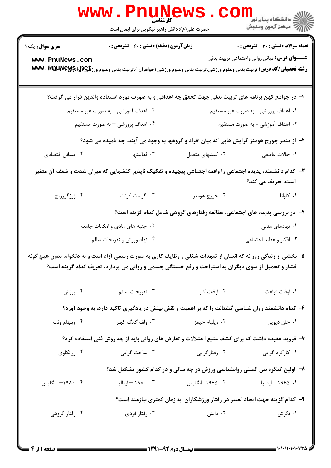| دانشگاه پیام نور<br>ا∛ مرکز آزمون وسنجش                                                                                         |                                  | www.PnuNews<br>حضرت علی(ع): دانش راهبر نیکویی برای ایمان است                                                                                |                                                                                                               |  |  |
|---------------------------------------------------------------------------------------------------------------------------------|----------------------------------|---------------------------------------------------------------------------------------------------------------------------------------------|---------------------------------------------------------------------------------------------------------------|--|--|
| تعداد سوالات : تستي : 30 ٪ تشريحي : 0                                                                                           |                                  | <b>زمان آزمون (دقیقه) : تستی : 60 ٪ تشریحی : 0</b>                                                                                          | <b>سری سوال :</b> یک ۱                                                                                        |  |  |
| <b>عنـــوان درس:</b> مبانی روانی واجتماعی تربیت بدنی                                                                            |                                  | <b>رشته تحصیلی/کد درس:</b> تربیت بدنی وعلوم ورزشی،تربیت بدنی وعلوم ورزشی (خواهران )،تربیت بدنی وعلوم ورز <b>شگی (لِبراه آلال WWW . RT W</b> | www.PnuNews.com                                                                                               |  |  |
|                                                                                                                                 |                                  | ا– در جوامع کهن برنامه های تربیت بدنی جهت تحقق چه اهدافی و به صورت مورد استفاده والدین قرار می گرفت؟                                        |                                                                                                               |  |  |
| ۰۱ اهداف پرورشی - به صورت غیر مستقیم                                                                                            |                                  | ۰۲ اهداف آموزشی – به صورت غیر مستقیم                                                                                                        |                                                                                                               |  |  |
|                                                                                                                                 | ۰۳ اهداف آموزشی – به صورت مستقیم |                                                                                                                                             | ۰۴ اهداف پرورشی – به صورت مستقیم                                                                              |  |  |
|                                                                                                                                 |                                  | ۲- از منظر جورج هومنز گرایش هایی که میان افراد و گروهها به وجود می آیند، چه نامیده می شود؟                                                  |                                                                                                               |  |  |
| ٠١. حالات عاطفي                                                                                                                 | ٠٢ كنشهاى متقابل                 | ۰۳ فعالیتها                                                                                                                                 | ۰۴ مسائل اقتصادی                                                                                              |  |  |
| ۳- کدام دانشمند، پدیده اجتماعی را واقعه اجتماعی پیچیده و تفکیک ناپذیر کنشهایی که میزان شدت و ضعف آن متغیر<br>است، تعریف می کند؟ |                                  |                                                                                                                                             |                                                                                                               |  |  |
| ۰۱ کاوانا                                                                                                                       | ۰۲ جورج هومنز                    | ۰۳ اگوست کونت                                                                                                                               | ۰۴ ژرژگورویچ                                                                                                  |  |  |
|                                                                                                                                 |                                  | ۴- در بررسی پدیده های اجتماعی، مطالعه رفتارهای گروهی شامل کدام گزینه است؟                                                                   |                                                                                                               |  |  |
| ۰۱ نهادهای مدنی                                                                                                                 |                                  | ۰۲ جنبه های مادی و امکانات جامعه                                                                                                            |                                                                                                               |  |  |
|                                                                                                                                 | ۰۳ افکار و عقاید اجتماعی         |                                                                                                                                             | ۰۴ نهاد ورزش و تفریحات سالم                                                                                   |  |  |
|                                                                                                                                 |                                  | فشار و تحمیل از سوی دیگران به استراحت و رفع خستگی جسمی و روانی می پردازد، تعریف کدام گزینه است؟                                             | ۵– بخشی از زندگی روزانه که انسان از تعهدات شغلی و وظایف کاری به صورت رسمی آزاد است و به دلخواه، بدون هیچ گونه |  |  |
| ٠١. اوقات فراغت                                                                                                                 | ۰۲ اوقات کار                     | ۰۳ تفریحات سالم                                                                                                                             | ۰۴ ورزش                                                                                                       |  |  |
|                                                                                                                                 |                                  | ۶– کدام دانشمند روان شناسی گشتالت را که بر اهمیت و نقش بینش در یادگیری تاکید دارد، به وجود آورد؟                                            |                                                                                                               |  |  |
| ۰۱ جان ديويي                                                                                                                    | ۰۲ ویلیام جیمز                   | ۰۳ ولف گانگ کهلر                                                                                                                            | ۰۴ ویلهلم ونت                                                                                                 |  |  |
|                                                                                                                                 |                                  | ۷- فروید عقیده داشت که برای کشف منبع اختلالات و تعارض های روانی باید از چه روش فنی استفاده کرد؟                                             |                                                                                                               |  |  |
| ۰۱ کارکرد گرایی                                                                                                                 | ۰۲ رفتارگرایی                    | ۰۳ ساخت گرايي                                                                                                                               | ۰۴ روانکاوی                                                                                                   |  |  |
|                                                                                                                                 |                                  | ۸– اولین کنگره بین المللی روانشناسی ورزش در چه سالی و در کدام کشور تشکیل شد؟                                                                |                                                                                                               |  |  |
| ۰۱ ۱۹۶۵– ایتالیا                                                                                                                | ۰۲ ۱۹۶۵– انگلیس                  | ۰۳ ۱۹۸۰ – ایتالیا                                                                                                                           | ۰۴ ۱۹۸۰– انگلیس                                                                                               |  |  |
|                                                                                                                                 |                                  | ۹- کدام گزینه جهت ایجاد تغییر در رفتار ورزشکاران به زمان کمتری نیازمند است؟                                                                 |                                                                                                               |  |  |
| ۰۱ نگرش                                                                                                                         | ۰۲ دانش                          | ۰۳ رفتار فردي                                                                                                                               | ۰۴ رفتار گروهی                                                                                                |  |  |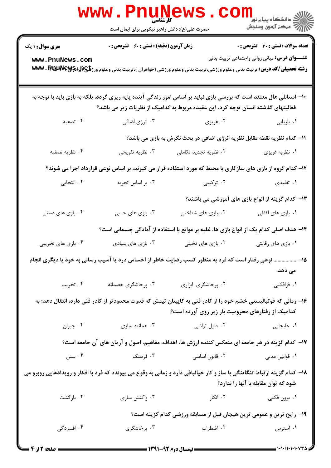|                        | www.Pnune<br>حضرت علی(ع): دانش راهبر نیکویی برای ایمان است                       | N 5                   |                                                                                                                                                                                                       |
|------------------------|----------------------------------------------------------------------------------|-----------------------|-------------------------------------------------------------------------------------------------------------------------------------------------------------------------------------------------------|
| <b>سری سوال : ۱ یک</b> | <b>زمان آزمون (دقیقه) : تستی : 60 ٪ تشریحی : 0</b>                               |                       | <b>تعداد سوالات : تستی : 30 ٪ تشریحی : 0</b>                                                                                                                                                          |
| www.PnuNews.com        |                                                                                  |                       | <b>عنـــوان درس:</b> مبانی روانی واجتماعی تربیت بدنی<br><b>رشته تحصیلی/کد درس:</b> تربیت بدنی وعلوم ورزشی،تربیت بدنی وعلوم ورزشی (خواهران )،تربیت بدنی وعلوم ورز <b>شگی (براهکابلانال www . RT با</b> |
|                        | فعالیتهای گذشته انسان توجه کرد، این عقیده مربوط به کدامیک از نظریات زیر می باشد؟ |                       | ∙ا− استانلی هال معتقد است که بررسی بازی نباید بر اساس امور زندگی آینده پایه ریزی گردد، بلکه به بازی باید با توجه به                                                                                   |
| ۰۴ تصفیه               | ۰۳ انرژی اضافی                                                                   | ۰۲ غریزی              | ۰۱ بازیابی                                                                                                                                                                                            |
|                        |                                                                                  |                       | 11- كدام نظريه نقطه مقابل نظريه انرژي اضافي در بحث نگرش به بازي مي باشد؟                                                                                                                              |
| ۰۴ نظريه تصفيه         | ۰۳ نظریه تفریحی                                                                  | ۰۲ نظریه تجدید تکاملی | ۰۱ نظریه غریزی                                                                                                                                                                                        |
|                        |                                                                                  |                       | ۱۲- کدام گروه از بازی های سازگاری با محیط که مورد استفاده قرار می گیرند، بر اساس نوعی قرارداد اجرا می شوند؟                                                                                           |
| ۰۴ انتخابی             | ۰۳ بر اساس تجربه                                                                 | ۰۲ ترکیبی             | ۰۱ تقلیدی                                                                                                                                                                                             |
|                        |                                                                                  |                       | ۱۳– کدام گزینه از انواع بازی های آموزشی می باشند؟                                                                                                                                                     |
| ۰۴ بازی های دستی       | ۰۳ بازی های حسی                                                                  | ۰۲ بازی های شناختی    | ۰۱ بازی های لفظی                                                                                                                                                                                      |
|                        |                                                                                  |                       | ۱۴– هدف اصلی کدام یک از انواع بازی ها، غلبه بر موانع با استفاده از آمادگی جسمانی است؟                                                                                                                 |
| ۰۴ بازی های تخریبی     | ۰۳ بازی های بنیادی                                                               | ۰۲ بازی های تخیلی     | ۰۱ بازی های رقابتی                                                                                                                                                                                    |
|                        |                                                                                  |                       | ۱۵– ……………. نوعی رفتار است که فرد به منظور کسب رضایت خاطر از احساس درد یا آسیب رسانی به خود یا دیگری انجام<br>مى دهد.                                                                                  |
| ۰۴ تخریب               | ۰۳ پرخاشگری خصمانه                                                               | ٠٢ پرخاشگرى ابزارى    | ۰۱ فرافکنی                                                                                                                                                                                            |
|                        |                                                                                  |                       | ۱۶– زمانی که فوتبالیستی خشم خود را از کادر فنی به کاپیتان تیمش که قدرت محدودتر از کادر فنی دارد، انتقال دهد؛ به<br><b>کدامیک از رفتارهای محرومیت بار زیر روی آورده است</b> ؟                          |
| ۰۴ جبران               | ۰۳ همانند سازی                                                                   | ۰۲ دلیل تراشی         | ۰۱ جابجایی                                                                                                                                                                                            |
|                        |                                                                                  |                       | ۱۷– کدام گزینه در هر جامعه ای منعکس کننده ارزش ها، اهداف، مفاهیم، اصول و آرمان های آن جامعه است؟                                                                                                      |
| ۰۴ سنن                 | ۰۳ فرهنگ                                                                         | ۰۲ قانون اساسی        | ۰۱ قوانین مدنی                                                                                                                                                                                        |
|                        |                                                                                  |                       | ۱۸– کدام گزینه ارتباط تنگاتنگی با ساز و کار خیالبافی دارد و زمانی به وقوع می پیوندد که فرد با افکار و رویدادهایی روبرو می<br>شود که توان مقابله با آنها را ندارد؟                                     |
| ۰۴ بازگشت              | ۰۳ واکنش سازی                                                                    | ۰۲ انکار              | ۰۱ برون فکنی                                                                                                                                                                                          |
|                        |                                                                                  |                       | ۱۹- رایج ترین و عمومی ترین هیجان قبل از مسابقه ورزشی کدام گزینه است؟                                                                                                                                  |
| ۰۴ افسردگی             | ۰۳ پرخاشگری                                                                      | ۰۲ اضطراب             | ۰۱ استرس                                                                                                                                                                                              |
|                        |                                                                                  |                       |                                                                                                                                                                                                       |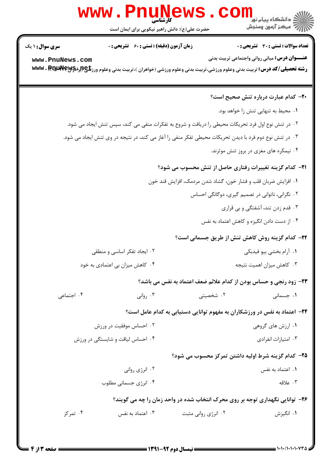## WWW.PnuMews.com الاستانستان پيام ٿور.<br>الاس آهيڪر آزمون وسنڊش حضرت علی(ع): دانش راهبر نیکویی برای ایمان است **تعداد سوالات : تستی : 30 - تشریحی : 0 زمان آزمون (دقیقه) : تستی : 60 گشریحی: 0 سری سوال : ۱ یک عنـــوان درس:** مبانی روانی واجتماعی تربیت بدنی www.PnuNews.com **رشته تحصیلی/کد درس:** تربیت بدنی وعلوم ورزشی،تربیت بدنی وعلوم ورزشی (خواهران )،تربیت بدنی وعلوم ورز**تلچ(لبراد www . RTALA Yeyy**Ş

|            |                                                                              |                                                                                                        | <b>۰۲</b> - کدام عبارت درباره تنش صحیح است؟ |  |  |
|------------|------------------------------------------------------------------------------|--------------------------------------------------------------------------------------------------------|---------------------------------------------|--|--|
|            |                                                                              | ۰۱ محیط به تنهایی تنش زا خواهد بود.                                                                    |                                             |  |  |
|            |                                                                              | ۰۲ در تنش نوع اول فرد تحریکات محیطی را دریافت و شروع به تفکرات منفی می کند، سپس تنش ایجاد می شود.      |                                             |  |  |
|            |                                                                              | ۰۳ در تنش نوع دوم فرد با دیدن تحریکات محیطی تفکر منفی را آغاز می کند، در نتیجه در وی تنش ایجاد می شود. |                                             |  |  |
|            |                                                                              |                                                                                                        | ۰۴ نیمکره های مغزی در بروز تنش موثرند.      |  |  |
|            |                                                                              | <b>۲۱</b> – کدام گزینه تغییرات رفتاری حاصل از تنش محسوب می شود؟                                        |                                             |  |  |
|            | ٠١ افزايش ضربان قلب و فشار خون، گشاد شدن مردمک، افزايش قند خون               |                                                                                                        |                                             |  |  |
|            | ۰۲ نگرانی، ناتوانی در تصمیم گیری، دوگانگی احساس                              |                                                                                                        |                                             |  |  |
|            | ۰۳ قدم زدن تند، آشفتگی و بی قراری                                            |                                                                                                        |                                             |  |  |
|            | ۰۴ از دست دادن انگیزه و کاهش اعتماد به نفس                                   |                                                                                                        |                                             |  |  |
|            |                                                                              | <b>۲۲</b> - کدام گزینه روش کاهش تنش از طریق جسمانی است؟                                                |                                             |  |  |
|            | ۰۲ ایجاد تفکر اساسی و منطقی                                                  |                                                                                                        | ۰۱ آرام بخشی بیو فیدبکی                     |  |  |
|            | ۰۴ کاهش میزان بی اعتمادی به خود                                              | ۰۳ کاهش میزان اهمیت نتیجه                                                                              |                                             |  |  |
|            |                                                                              | ٢٣- زود رنجي و حساس بودن از كدام علائم ضعف اعتماد به نفس مي باشد؟                                      |                                             |  |  |
| ۰۴ اجتماعی | ۰۳ روانی                                                                     | ۰۲ شخصیتی                                                                                              | ۰۱ جسمانی                                   |  |  |
|            |                                                                              | ۲۴– اعتماد به نفس در ورزشکاران به مفهوم توانایی دستیابی به کدام عامل است؟                              |                                             |  |  |
|            | ۰۲ احساس موفقیت در ورزش                                                      |                                                                                                        | ۰۱ ارزش های گروهی                           |  |  |
|            | ۰۴ احساس لیاقت و شایستگی در ورزش                                             | ۰۳ امتیازات انفرادی                                                                                    |                                             |  |  |
|            |                                                                              | <b>۲۵</b> – کدام گزینه شرط اولیه داشتن تمرکز محسوب می شود؟                                             |                                             |  |  |
|            | ۰۲ انرژی روانی                                                               |                                                                                                        | ۰۱ اعتماد به نفس                            |  |  |
|            | ۰۴ انرژی جسمانی مطلوب                                                        |                                                                                                        | ۰۳ علاقه                                    |  |  |
|            | ۲۶- توانایی نگهداری توجه بر روی محرک انتخاب شده در واحد زمان را چه می گویند؟ |                                                                                                        |                                             |  |  |
| ۰۴ تمرکز   | ۰۳ اعتماد به نفس                                                             | ۰۲ انرژی روانی مثبت                                                                                    | ۰۱ انگیزش                                   |  |  |